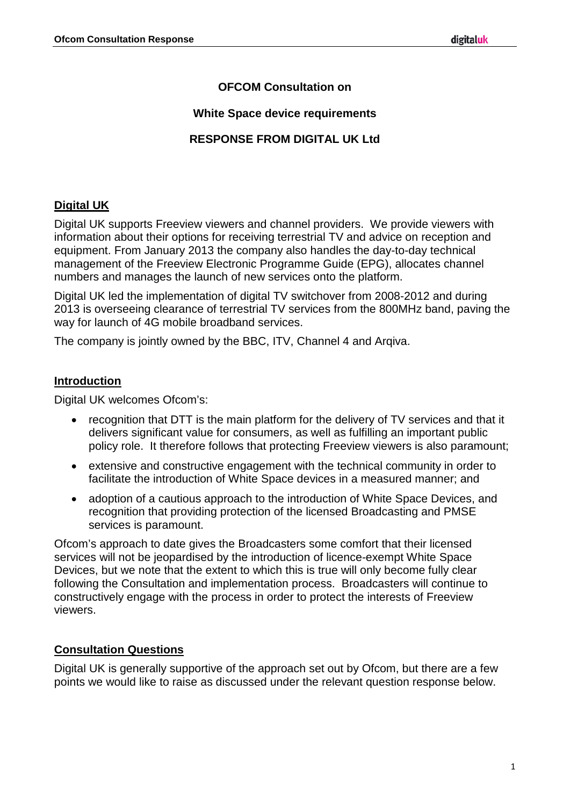# **OFCOM Consultation on**

### **White Space device requirements**

# **RESPONSE FROM DIGITAL UK Ltd**

# **Digital UK**

Digital UK supports Freeview viewers and channel providers. We provide viewers with information about their options for receiving terrestrial TV and advice on reception and equipment. From January 2013 the company also handles the day-to-day technical management of the Freeview Electronic Programme Guide (EPG), allocates channel numbers and manages the launch of new services onto the platform.

Digital UK led the implementation of digital TV switchover from 2008-2012 and during 2013 is overseeing clearance of terrestrial TV services from the 800MHz band, paving the way for launch of 4G mobile broadband services.

The company is jointly owned by the BBC, ITV, Channel 4 and Arqiva.

### **Introduction**

Digital UK welcomes Ofcom's:

- recognition that DTT is the main platform for the delivery of TV services and that it delivers significant value for consumers, as well as fulfilling an important public policy role. It therefore follows that protecting Freeview viewers is also paramount;
- extensive and constructive engagement with the technical community in order to facilitate the introduction of White Space devices in a measured manner; and
- adoption of a cautious approach to the introduction of White Space Devices, and recognition that providing protection of the licensed Broadcasting and PMSE services is paramount.

Ofcom's approach to date gives the Broadcasters some comfort that their licensed services will not be jeopardised by the introduction of licence-exempt White Space Devices, but we note that the extent to which this is true will only become fully clear following the Consultation and implementation process. Broadcasters will continue to constructively engage with the process in order to protect the interests of Freeview viewers.

## **Consultation Questions**

Digital UK is generally supportive of the approach set out by Ofcom, but there are a few points we would like to raise as discussed under the relevant question response below.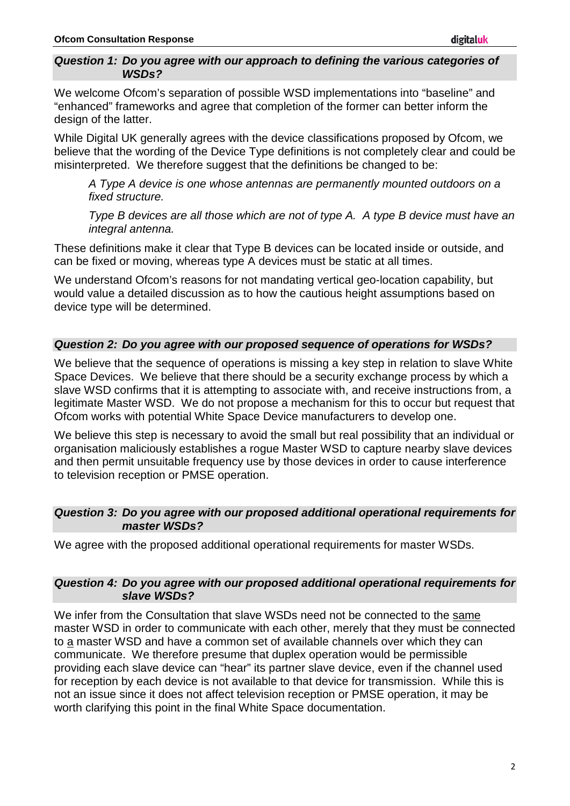#### *Question 1: Do you agree with our approach to defining the various categories of WSDs?*

We welcome Ofcom's separation of possible WSD implementations into "baseline" and "enhanced" frameworks and agree that completion of the former can better inform the design of the latter.

While Digital UK generally agrees with the device classifications proposed by Ofcom, we believe that the wording of the Device Type definitions is not completely clear and could be misinterpreted. We therefore suggest that the definitions be changed to be:

*A Type A device is one whose antennas are permanently mounted outdoors on a fixed structure.*

*Type B devices are all those which are not of type A. A type B device must have an integral antenna.*

These definitions make it clear that Type B devices can be located inside or outside, and can be fixed or moving, whereas type A devices must be static at all times.

We understand Ofcom's reasons for not mandating vertical geo-location capability, but would value a detailed discussion as to how the cautious height assumptions based on device type will be determined.

### *Question 2: Do you agree with our proposed sequence of operations for WSDs?*

We believe that the sequence of operations is missing a key step in relation to slave White Space Devices. We believe that there should be a security exchange process by which a slave WSD confirms that it is attempting to associate with, and receive instructions from, a legitimate Master WSD. We do not propose a mechanism for this to occur but request that Ofcom works with potential White Space Device manufacturers to develop one.

We believe this step is necessary to avoid the small but real possibility that an individual or organisation maliciously establishes a rogue Master WSD to capture nearby slave devices and then permit unsuitable frequency use by those devices in order to cause interference to television reception or PMSE operation.

### *Question 3: Do you agree with our proposed additional operational requirements for master WSDs?*

We agree with the proposed additional operational requirements for master WSDs.

#### *Question 4: Do you agree with our proposed additional operational requirements for slave WSDs?*

We infer from the Consultation that slave WSDs need not be connected to the same master WSD in order to communicate with each other, merely that they must be connected to a master WSD and have a common set of available channels over which they can communicate. We therefore presume that duplex operation would be permissible providing each slave device can "hear" its partner slave device, even if the channel used for reception by each device is not available to that device for transmission. While this is not an issue since it does not affect television reception or PMSE operation, it may be worth clarifying this point in the final White Space documentation.